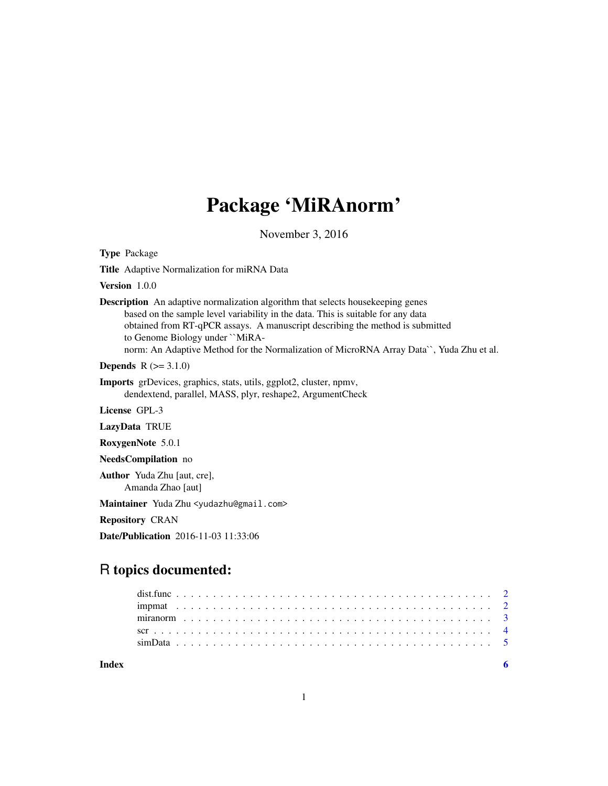# Package 'MiRAnorm'

November 3, 2016

Type Package

Title Adaptive Normalization for miRNA Data

Version 1.0.0

Description An adaptive normalization algorithm that selects housekeeping genes based on the sample level variability in the data. This is suitable for any data obtained from RT-qPCR assays. A manuscript describing the method is submitted to Genome Biology under ``MiRAnorm: An Adaptive Method for the Normalization of MicroRNA Array Data``, Yuda Zhu et al.

**Depends**  $R (= 3.1.0)$ 

Imports grDevices, graphics, stats, utils, ggplot2, cluster, npmv, dendextend, parallel, MASS, plyr, reshape2, ArgumentCheck

License GPL-3

LazyData TRUE

RoxygenNote 5.0.1

NeedsCompilation no

Author Yuda Zhu [aut, cre], Amanda Zhao [aut]

Maintainer Yuda Zhu <yudazhu@gmail.com>

Repository CRAN

Date/Publication 2016-11-03 11:33:06

# R topics documented:

| $\sin \theta$ ata $\cos \theta$ |  |  |  |  |  |  |  |  |  |  |  |  |  |  |  |  |  |  |  |  |  |  |  |
|---------------------------------|--|--|--|--|--|--|--|--|--|--|--|--|--|--|--|--|--|--|--|--|--|--|--|
|                                 |  |  |  |  |  |  |  |  |  |  |  |  |  |  |  |  |  |  |  |  |  |  |  |

**Index** [6](#page-5-0) **6**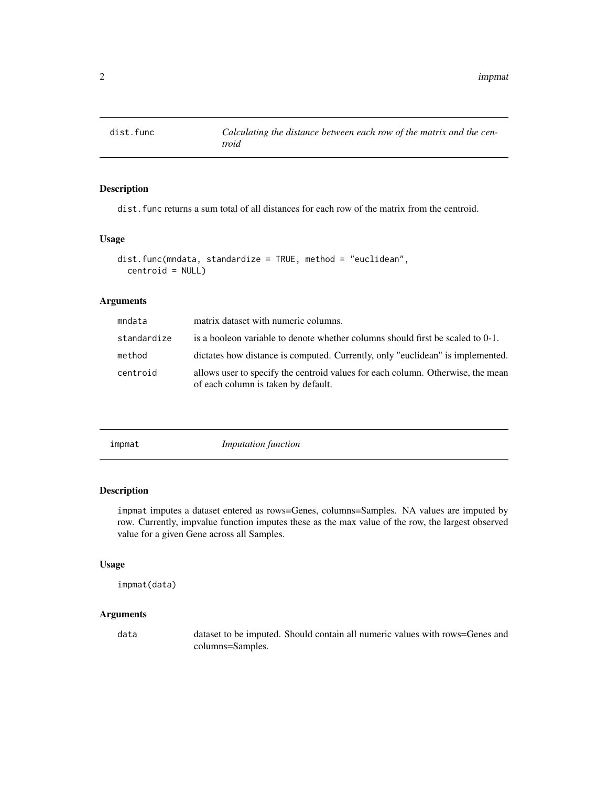<span id="page-1-0"></span>

# Description

dist.func returns a sum total of all distances for each row of the matrix from the centroid.

#### Usage

```
dist.func(mndata, standardize = TRUE, method = "euclidean",
  centroid = NULL)
```
#### Arguments

| mndata      | matrix dataset with numeric columns.                                                                                   |
|-------------|------------------------------------------------------------------------------------------------------------------------|
| standardize | is a booleon variable to denote whether columns should first be scaled to 0-1.                                         |
| method      | dictates how distance is computed. Currently, only "euclidean" is implemented.                                         |
| centroid    | allows user to specify the centroid values for each column. Otherwise, the mean<br>of each column is taken by default. |

impmat *Imputation function*

# Description

impmat imputes a dataset entered as rows=Genes, columns=Samples. NA values are imputed by row. Currently, impvalue function imputes these as the max value of the row, the largest observed value for a given Gene across all Samples.

#### Usage

```
impmat(data)
```
# Arguments

data dataset to be imputed. Should contain all numeric values with rows=Genes and columns=Samples.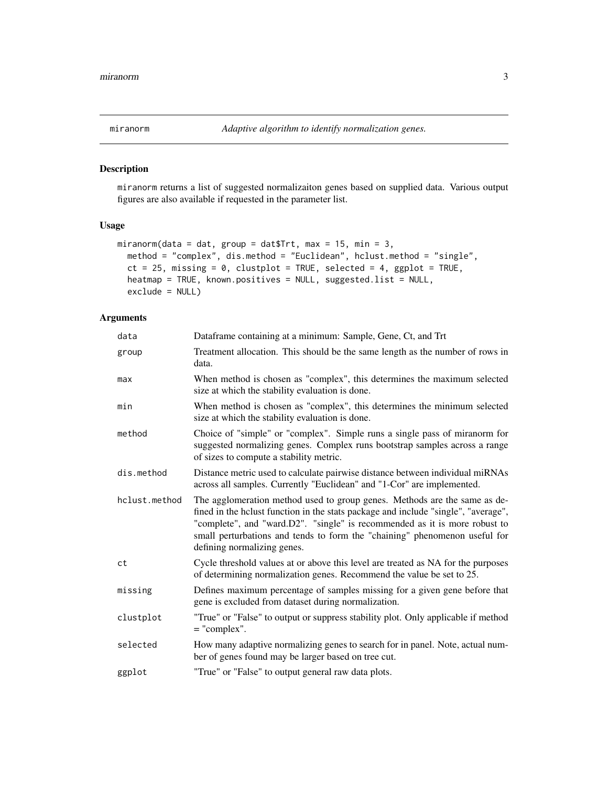<span id="page-2-0"></span>

# Description

miranorm returns a list of suggested normalizaiton genes based on supplied data. Various output figures are also available if requested in the parameter list.

#### Usage

```
miranorm(data = dat, group = dat$Trt, max = 15, min = 3,
 method = "complex", dis.method = "Euclidean", hclust.method = "single",
 ct = 25, missing = 0, clustplot = TRUE, selected = 4, ggplot = TRUE,
 heatmap = TRUE, known.positives = NULL, suggested.list = NULL,
 exclude = NULL)
```
# Arguments

| data          | Dataframe containing at a minimum: Sample, Gene, Ct, and Trt                                                                                                                                                                                                                                                                                               |
|---------------|------------------------------------------------------------------------------------------------------------------------------------------------------------------------------------------------------------------------------------------------------------------------------------------------------------------------------------------------------------|
| group         | Treatment allocation. This should be the same length as the number of rows in<br>data.                                                                                                                                                                                                                                                                     |
| max           | When method is chosen as "complex", this determines the maximum selected<br>size at which the stability evaluation is done.                                                                                                                                                                                                                                |
| min           | When method is chosen as "complex", this determines the minimum selected<br>size at which the stability evaluation is done.                                                                                                                                                                                                                                |
| method        | Choice of "simple" or "complex". Simple runs a single pass of miranorm for<br>suggested normalizing genes. Complex runs bootstrap samples across a range<br>of sizes to compute a stability metric.                                                                                                                                                        |
| dis.method    | Distance metric used to calculate pairwise distance between individual miRNAs<br>across all samples. Currently "Euclidean" and "1-Cor" are implemented.                                                                                                                                                                                                    |
| hclust.method | The agglomeration method used to group genes. Methods are the same as de-<br>fined in the hclust function in the stats package and include "single", "average",<br>"complete", and "ward.D2". "single" is recommended as it is more robust to<br>small perturbations and tends to form the "chaining" phenomenon useful for<br>defining normalizing genes. |
| ct            | Cycle threshold values at or above this level are treated as NA for the purposes<br>of determining normalization genes. Recommend the value be set to 25.                                                                                                                                                                                                  |
| missing       | Defines maximum percentage of samples missing for a given gene before that<br>gene is excluded from dataset during normalization.                                                                                                                                                                                                                          |
| clustplot     | "True" or "False" to output or suppress stability plot. Only applicable if method<br>$=$ "complex".                                                                                                                                                                                                                                                        |
| selected      | How many adaptive normalizing genes to search for in panel. Note, actual num-<br>ber of genes found may be larger based on tree cut.                                                                                                                                                                                                                       |
| ggplot        | "True" or "False" to output general raw data plots.                                                                                                                                                                                                                                                                                                        |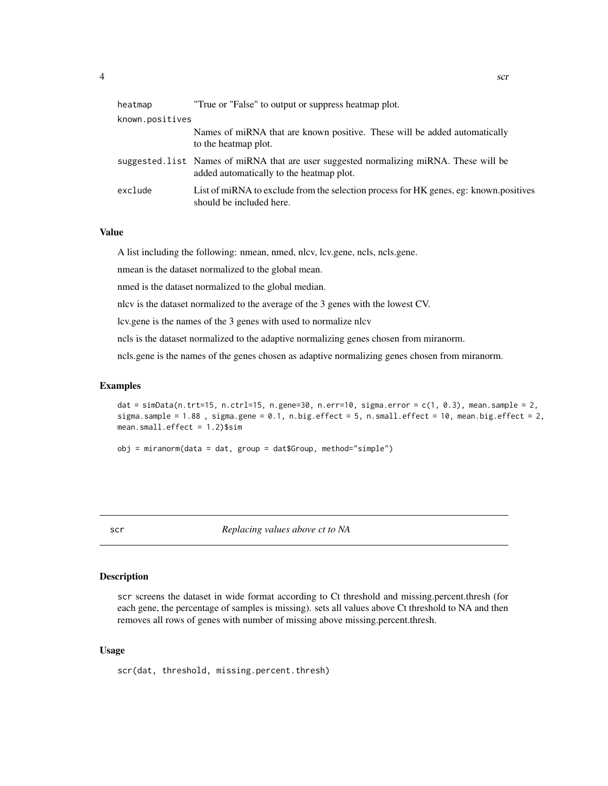<span id="page-3-0"></span>

| "True or "False" to output or suppress heatmap plot.                                                                               |
|------------------------------------------------------------------------------------------------------------------------------------|
| known.positives                                                                                                                    |
| Names of miRNA that are known positive. These will be added automatically<br>to the heatmap plot.                                  |
| suggested.list Names of miRNA that are user suggested normalizing miRNA. These will be<br>added automatically to the heatmap plot. |
| List of miRNA to exclude from the selection process for HK genes, eg: known.positives<br>should be included here.                  |
|                                                                                                                                    |

#### Value

A list including the following: nmean, nmed, nlcv, lcv.gene, ncls, ncls.gene.

nmean is the dataset normalized to the global mean.

nmed is the dataset normalized to the global median.

nlcv is the dataset normalized to the average of the 3 genes with the lowest CV.

lcv.gene is the names of the 3 genes with used to normalize nlcv

ncls is the dataset normalized to the adaptive normalizing genes chosen from miranorm.

ncls.gene is the names of the genes chosen as adaptive normalizing genes chosen from miranorm.

#### Examples

```
dat = simData(n.trt=15, n.ctrl=15, n.gene=30, n.err=10, sigma.error = c(1, 0.3), mean.sample = 2,
sigma.sample = 1.88, sigma.gene = 0.1, n.big.effect = 5, n.small.effect = 10, mean.big.effect = 2,
mean.small.effect = 1.2)$sim
```

```
obj = miranorm(data = dat, group = dat$Group, method="simple")
```
scr *Replacing values above ct to NA*

#### Description

scr screens the dataset in wide format according to Ct threshold and missing.percent.thresh (for each gene, the percentage of samples is missing). sets all values above Ct threshold to NA and then removes all rows of genes with number of missing above missing.percent.thresh.

#### Usage

scr(dat, threshold, missing.percent.thresh)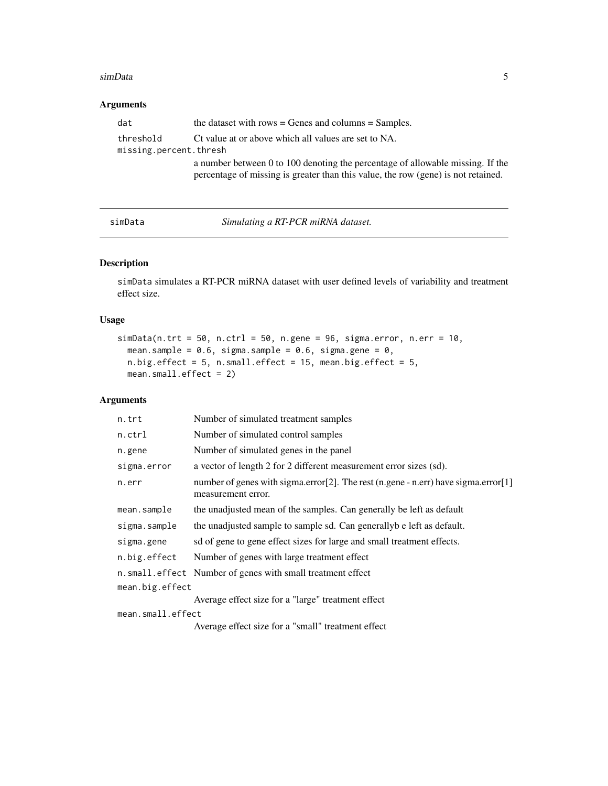#### <span id="page-4-0"></span>simData 5

# Arguments

| dat                                 | the dataset with rows $=$ Genes and columns $=$ Samples.                                                                                                            |
|-------------------------------------|---------------------------------------------------------------------------------------------------------------------------------------------------------------------|
| threshold<br>missing.percent.thresh | Ct value at or above which all values are set to NA.                                                                                                                |
|                                     | a number between 0 to 100 denoting the percentage of allowable missing. If the<br>percentage of missing is greater than this value, the row (gene) is not retained. |

simData *Simulating a RT-PCR miRNA dataset.*

# Description

simData simulates a RT-PCR miRNA dataset with user defined levels of variability and treatment effect size.

#### Usage

```
simData(n.txt = 50, n.ctr1 = 50, n.gene = 96, sigma.ciror, n.err = 10,mean.sample = 0.6, sigma.sample = 0.6, sigma.gene = 0,
 n.big.effect = 5, n.small.effect = 15, mean.big.effect = 5,
 mean.small.effect = 2)
```
#### Arguments

| n.trt             | Number of simulated treatment samples                                                                    |
|-------------------|----------------------------------------------------------------------------------------------------------|
| n.ctrl            | Number of simulated control samples                                                                      |
| n.gene            | Number of simulated genes in the panel                                                                   |
| sigma.error       | a vector of length 2 for 2 different measurement error sizes (sd).                                       |
| n.err             | number of genes with sigma.error[2]. The rest (n.gene - n.err) have sigma.error[1]<br>measurement error. |
| mean.sample       | the unadjusted mean of the samples. Can generally be left as default                                     |
| sigma.sample      | the unadjusted sample to sample sd. Can generally be left as default.                                    |
| sigma.gene        | sd of gene to gene effect sizes for large and small treatment effects.                                   |
| n.big.effect      | Number of genes with large treatment effect                                                              |
|                   | n. small. effect Number of genes with small treatment effect                                             |
| mean.big.effect   |                                                                                                          |
|                   | Average effect size for a "large" treatment effect                                                       |
| mean.small.effect |                                                                                                          |

Average effect size for a "small" treatment effect